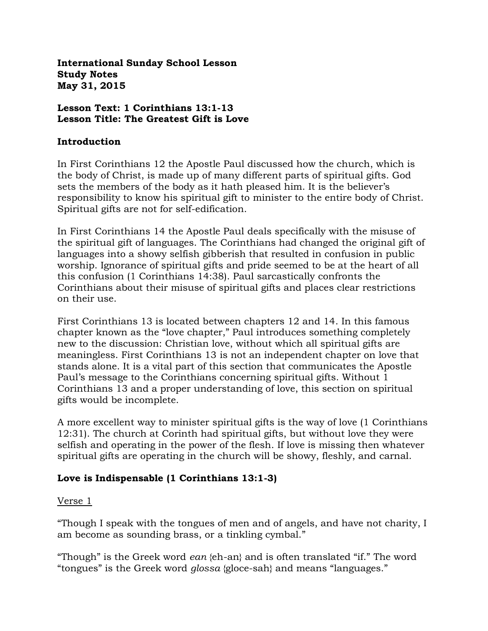**International Sunday School Lesson Study Notes May 31, 2015**

### **Lesson Text: 1 Corinthians 13:1-13 Lesson Title: The Greatest Gift is Love**

## **Introduction**

In First Corinthians 12 the Apostle Paul discussed how the church, which is the body of Christ, is made up of many different parts of spiritual gifts. God sets the members of the body as it hath pleased him. It is the believer's responsibility to know his spiritual gift to minister to the entire body of Christ. Spiritual gifts are not for self-edification.

In First Corinthians 14 the Apostle Paul deals specifically with the misuse of the spiritual gift of languages. The Corinthians had changed the original gift of languages into a showy selfish gibberish that resulted in confusion in public worship. Ignorance of spiritual gifts and pride seemed to be at the heart of all this confusion (1 Corinthians 14:38). Paul sarcastically confronts the Corinthians about their misuse of spiritual gifts and places clear restrictions on their use.

First Corinthians 13 is located between chapters 12 and 14. In this famous chapter known as the "love chapter," Paul introduces something completely new to the discussion: Christian love, without which all spiritual gifts are meaningless. First Corinthians 13 is not an independent chapter on love that stands alone. It is a vital part of this section that communicates the Apostle Paul's message to the Corinthians concerning spiritual gifts. Without 1 Corinthians 13 and a proper understanding of love, this section on spiritual gifts would be incomplete.

A more excellent way to minister spiritual gifts is the way of love (1 Corinthians 12:31). The church at Corinth had spiritual gifts, but without love they were selfish and operating in the power of the flesh. If love is missing then whatever spiritual gifts are operating in the church will be showy, fleshly, and carnal.

# **Love is Indispensable (1 Corinthians 13:1-3)**

### Verse 1

"Though I speak with the tongues of men and of angels, and have not charity, I am become as sounding brass, or a tinkling cymbal."

"Though" is the Greek word *ean* {eh-an} and is often translated "if." The word "tongues" is the Greek word *glossa* {gloce-sah} and means "languages."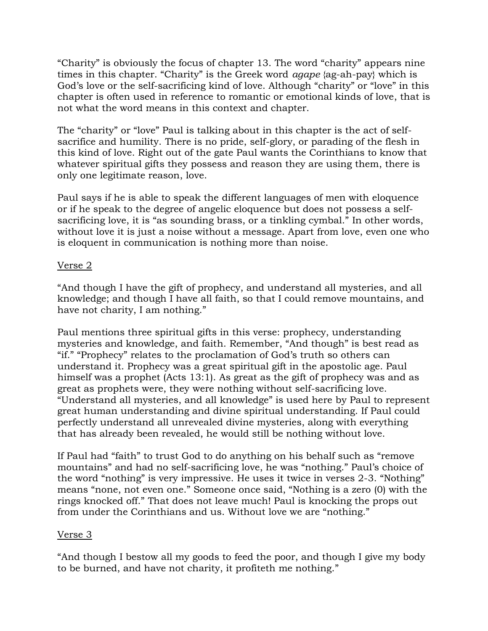"Charity" is obviously the focus of chapter 13. The word "charity" appears nine times in this chapter. "Charity" is the Greek word *agape* {ag-ah-pay} which is God's love or the self-sacrificing kind of love. Although "charity" or "love" in this chapter is often used in reference to romantic or emotional kinds of love, that is not what the word means in this context and chapter.

The "charity" or "love" Paul is talking about in this chapter is the act of selfsacrifice and humility. There is no pride, self-glory, or parading of the flesh in this kind of love. Right out of the gate Paul wants the Corinthians to know that whatever spiritual gifts they possess and reason they are using them, there is only one legitimate reason, love.

Paul says if he is able to speak the different languages of men with eloquence or if he speak to the degree of angelic eloquence but does not possess a selfsacrificing love, it is "as sounding brass, or a tinkling cymbal." In other words, without love it is just a noise without a message. Apart from love, even one who is eloquent in communication is nothing more than noise.

## Verse 2

"And though I have the gift of prophecy, and understand all mysteries, and all knowledge; and though I have all faith, so that I could remove mountains, and have not charity, I am nothing."

Paul mentions three spiritual gifts in this verse: prophecy, understanding mysteries and knowledge, and faith. Remember, "And though" is best read as "if." "Prophecy" relates to the proclamation of God's truth so others can understand it. Prophecy was a great spiritual gift in the apostolic age. Paul himself was a prophet (Acts 13:1). As great as the gift of prophecy was and as great as prophets were, they were nothing without self-sacrificing love. "Understand all mysteries, and all knowledge" is used here by Paul to represent great human understanding and divine spiritual understanding. If Paul could perfectly understand all unrevealed divine mysteries, along with everything that has already been revealed, he would still be nothing without love.

If Paul had "faith" to trust God to do anything on his behalf such as "remove mountains" and had no self-sacrificing love, he was "nothing." Paul's choice of the word "nothing" is very impressive. He uses it twice in verses 2-3. "Nothing" means "none, not even one." Someone once said, "Nothing is a zero (0) with the rings knocked off." That does not leave much! Paul is knocking the props out from under the Corinthians and us. Without love we are "nothing."

# Verse 3

"And though I bestow all my goods to feed the poor, and though I give my body to be burned, and have not charity, it profiteth me nothing."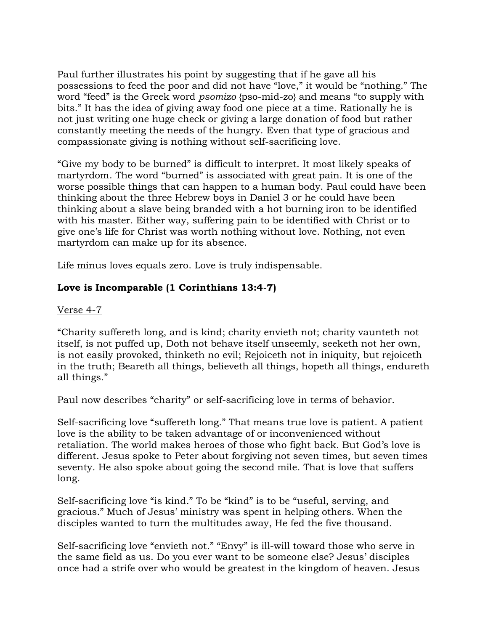Paul further illustrates his point by suggesting that if he gave all his possessions to feed the poor and did not have "love," it would be "nothing." The word "feed" is the Greek word *psomizo* {pso-mid-zo} and means "to supply with bits." It has the idea of giving away food one piece at a time. Rationally he is not just writing one huge check or giving a large donation of food but rather constantly meeting the needs of the hungry. Even that type of gracious and compassionate giving is nothing without self-sacrificing love.

"Give my body to be burned" is difficult to interpret. It most likely speaks of martyrdom. The word "burned" is associated with great pain. It is one of the worse possible things that can happen to a human body. Paul could have been thinking about the three Hebrew boys in Daniel 3 or he could have been thinking about a slave being branded with a hot burning iron to be identified with his master. Either way, suffering pain to be identified with Christ or to give one's life for Christ was worth nothing without love. Nothing, not even martyrdom can make up for its absence.

Life minus loves equals zero. Love is truly indispensable.

# **Love is Incomparable (1 Corinthians 13:4-7)**

## Verse 4-7

"Charity suffereth long, and is kind; charity envieth not; charity vaunteth not itself, is not puffed up, Doth not behave itself unseemly, seeketh not her own, is not easily provoked, thinketh no evil; Rejoiceth not in iniquity, but rejoiceth in the truth; Beareth all things, believeth all things, hopeth all things, endureth all things."

Paul now describes "charity" or self-sacrificing love in terms of behavior.

Self-sacrificing love "suffereth long." That means true love is patient. A patient love is the ability to be taken advantage of or inconvenienced without retaliation. The world makes heroes of those who fight back. But God's love is different. Jesus spoke to Peter about forgiving not seven times, but seven times seventy. He also spoke about going the second mile. That is love that suffers long.

Self-sacrificing love "is kind." To be "kind" is to be "useful, serving, and gracious." Much of Jesus' ministry was spent in helping others. When the disciples wanted to turn the multitudes away, He fed the five thousand.

Self-sacrificing love "envieth not." "Envy" is ill-will toward those who serve in the same field as us. Do you ever want to be someone else? Jesus' disciples once had a strife over who would be greatest in the kingdom of heaven. Jesus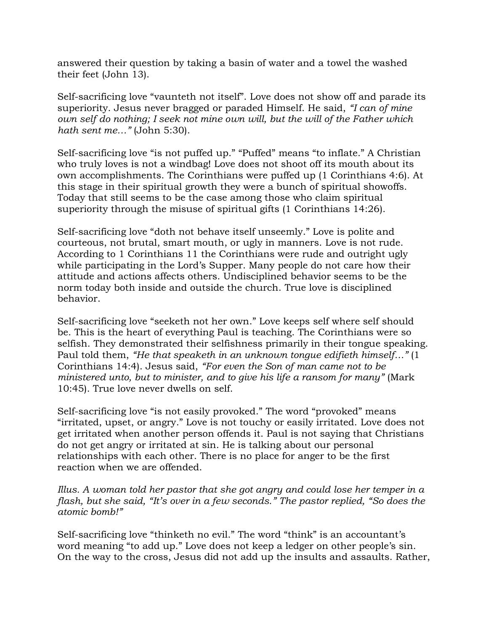answered their question by taking a basin of water and a towel the washed their feet (John 13).

Self-sacrificing love "vaunteth not itself". Love does not show off and parade its superiority. Jesus never bragged or paraded Himself. He said, *"I can of mine own self do nothing; I seek not mine own will, but the will of the Father which hath sent me…"* (John 5:30).

Self-sacrificing love "is not puffed up." "Puffed" means "to inflate." A Christian who truly loves is not a windbag! Love does not shoot off its mouth about its own accomplishments. The Corinthians were puffed up (1 Corinthians 4:6). At this stage in their spiritual growth they were a bunch of spiritual showoffs. Today that still seems to be the case among those who claim spiritual superiority through the misuse of spiritual gifts (1 Corinthians 14:26).

Self-sacrificing love "doth not behave itself unseemly." Love is polite and courteous, not brutal, smart mouth, or ugly in manners. Love is not rude. According to 1 Corinthians 11 the Corinthians were rude and outright ugly while participating in the Lord's Supper. Many people do not care how their attitude and actions affects others. Undisciplined behavior seems to be the norm today both inside and outside the church. True love is disciplined behavior.

Self-sacrificing love "seeketh not her own." Love keeps self where self should be. This is the heart of everything Paul is teaching. The Corinthians were so selfish. They demonstrated their selfishness primarily in their tongue speaking. Paul told them, *"He that speaketh in an unknown tongue edifieth himself…"* (1 Corinthians 14:4). Jesus said, *"For even the Son of man came not to be ministered unto, but to minister, and to give his life a ransom for many"* (Mark 10:45). True love never dwells on self.

Self-sacrificing love "is not easily provoked." The word "provoked" means "irritated, upset, or angry." Love is not touchy or easily irritated. Love does not get irritated when another person offends it. Paul is not saying that Christians do not get angry or irritated at sin. He is talking about our personal relationships with each other. There is no place for anger to be the first reaction when we are offended.

*Illus. A woman told her pastor that she got angry and could lose her temper in a flash, but she said, "It's over in a few seconds." The pastor replied, "So does the atomic bomb!"*

Self-sacrificing love "thinketh no evil." The word "think" is an accountant's word meaning "to add up." Love does not keep a ledger on other people's sin. On the way to the cross, Jesus did not add up the insults and assaults. Rather,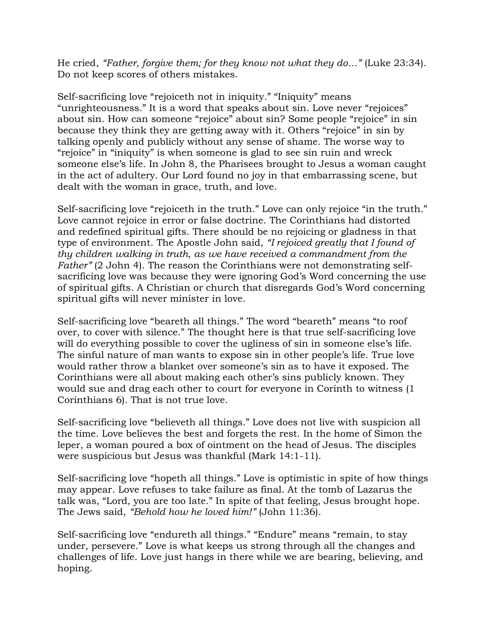He cried, "Father, forgive them; for they know not what they do..." (Luke 23:34). Do not keep scores of others mistakes.

Self-sacrificing love "rejoiceth not in iniquity." "Iniquity" means "unrighteousness." It is a word that speaks about sin. Love never "rejoices" about sin. How can someone "rejoice" about sin? Some people "rejoice" in sin because they think they are getting away with it. Others "rejoice" in sin by talking openly and publicly without any sense of shame. The worse way to "rejoice" in "iniquity" is when someone is glad to see sin ruin and wreck someone else's life. In John 8, the Pharisees brought to Jesus a woman caught in the act of adultery. Our Lord found no joy in that embarrassing scene, but dealt with the woman in grace, truth, and love.

Self-sacrificing love "rejoiceth in the truth." Love can only rejoice "in the truth." Love cannot rejoice in error or false doctrine. The Corinthians had distorted and redefined spiritual gifts. There should be no rejoicing or gladness in that type of environment. The Apostle John said, *"I rejoiced greatly that I found of thy children walking in truth, as we have received a commandment from the Father"* (2 John 4). The reason the Corinthians were not demonstrating selfsacrificing love was because they were ignoring God's Word concerning the use of spiritual gifts. A Christian or church that disregards God's Word concerning spiritual gifts will never minister in love.

Self-sacrificing love "beareth all things." The word "beareth" means "to roof over, to cover with silence." The thought here is that true self-sacrificing love will do everything possible to cover the ugliness of sin in someone else's life. The sinful nature of man wants to expose sin in other people's life. True love would rather throw a blanket over someone's sin as to have it exposed. The Corinthians were all about making each other's sins publicly known. They would sue and drag each other to court for everyone in Corinth to witness (1 Corinthians 6). That is not true love.

Self-sacrificing love "believeth all things." Love does not live with suspicion all the time. Love believes the best and forgets the rest. In the home of Simon the leper, a woman poured a box of ointment on the head of Jesus. The disciples were suspicious but Jesus was thankful (Mark 14:1-11).

Self-sacrificing love "hopeth all things." Love is optimistic in spite of how things may appear. Love refuses to take failure as final. At the tomb of Lazarus the talk was, "Lord, you are too late." In spite of that feeling, Jesus brought hope. The Jews said, *"Behold how he loved him!"* (John 11:36).

Self-sacrificing love "endureth all things." "Endure" means "remain, to stay under, persevere." Love is what keeps us strong through all the changes and challenges of life. Love just hangs in there while we are bearing, believing, and hoping.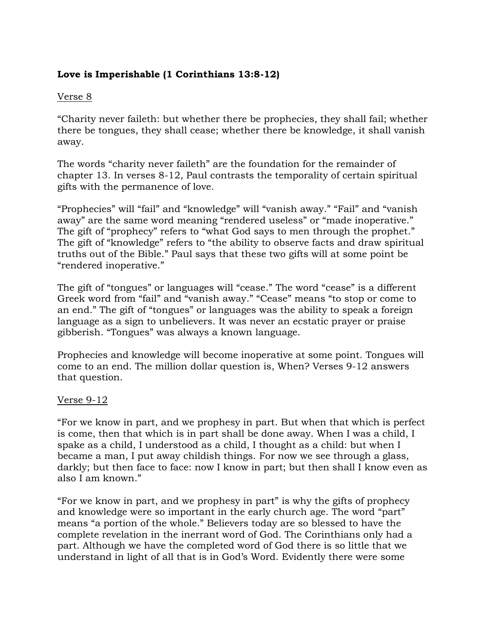# **Love is Imperishable (1 Corinthians 13:8-12)**

## Verse 8

"Charity never faileth: but whether there be prophecies, they shall fail; whether there be tongues, they shall cease; whether there be knowledge, it shall vanish away.

The words "charity never faileth" are the foundation for the remainder of chapter 13. In verses 8-12, Paul contrasts the temporality of certain spiritual gifts with the permanence of love.

"Prophecies" will "fail" and "knowledge" will "vanish away." "Fail" and "vanish away" are the same word meaning "rendered useless" or "made inoperative." The gift of "prophecy" refers to "what God says to men through the prophet." The gift of "knowledge" refers to "the ability to observe facts and draw spiritual truths out of the Bible." Paul says that these two gifts will at some point be "rendered inoperative."

The gift of "tongues" or languages will "cease." The word "cease" is a different Greek word from "fail" and "vanish away." "Cease" means "to stop or come to an end." The gift of "tongues" or languages was the ability to speak a foreign language as a sign to unbelievers. It was never an ecstatic prayer or praise gibberish. "Tongues" was always a known language.

Prophecies and knowledge will become inoperative at some point. Tongues will come to an end. The million dollar question is, When? Verses 9-12 answers that question.

### Verse 9-12

"For we know in part, and we prophesy in part. But when that which is perfect is come, then that which is in part shall be done away. When I was a child, I spake as a child, I understood as a child, I thought as a child: but when I became a man, I put away childish things. For now we see through a glass, darkly; but then face to face: now I know in part; but then shall I know even as also I am known."

"For we know in part, and we prophesy in part" is why the gifts of prophecy and knowledge were so important in the early church age. The word "part" means "a portion of the whole." Believers today are so blessed to have the complete revelation in the inerrant word of God. The Corinthians only had a part. Although we have the completed word of God there is so little that we understand in light of all that is in God's Word. Evidently there were some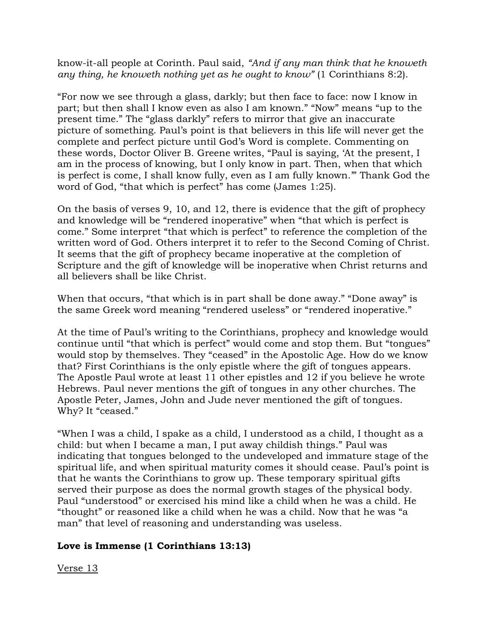know-it-all people at Corinth. Paul said, *"And if any man think that he knoweth any thing, he knoweth nothing yet as he ought to know"* (1 Corinthians 8:2).

"For now we see through a glass, darkly; but then face to face: now I know in part; but then shall I know even as also I am known." "Now" means "up to the present time." The "glass darkly" refers to mirror that give an inaccurate picture of something. Paul's point is that believers in this life will never get the complete and perfect picture until God's Word is complete. Commenting on these words, Doctor Oliver B. Greene writes, "Paul is saying, 'At the present, I am in the process of knowing, but I only know in part. Then, when that which is perfect is come, I shall know fully, even as I am fully known.'" Thank God the word of God, "that which is perfect" has come (James 1:25).

On the basis of verses 9, 10, and 12, there is evidence that the gift of prophecy and knowledge will be "rendered inoperative" when "that which is perfect is come." Some interpret "that which is perfect" to reference the completion of the written word of God. Others interpret it to refer to the Second Coming of Christ. It seems that the gift of prophecy became inoperative at the completion of Scripture and the gift of knowledge will be inoperative when Christ returns and all believers shall be like Christ.

When that occurs, "that which is in part shall be done away." "Done away" is the same Greek word meaning "rendered useless" or "rendered inoperative."

At the time of Paul's writing to the Corinthians, prophecy and knowledge would continue until "that which is perfect" would come and stop them. But "tongues" would stop by themselves. They "ceased" in the Apostolic Age. How do we know that? First Corinthians is the only epistle where the gift of tongues appears. The Apostle Paul wrote at least 11 other epistles and 12 if you believe he wrote Hebrews. Paul never mentions the gift of tongues in any other churches. The Apostle Peter, James, John and Jude never mentioned the gift of tongues. Why? It "ceased."

"When I was a child, I spake as a child, I understood as a child, I thought as a child: but when I became a man, I put away childish things." Paul was indicating that tongues belonged to the undeveloped and immature stage of the spiritual life, and when spiritual maturity comes it should cease. Paul's point is that he wants the Corinthians to grow up. These temporary spiritual gifts served their purpose as does the normal growth stages of the physical body. Paul "understood" or exercised his mind like a child when he was a child. He "thought" or reasoned like a child when he was a child. Now that he was "a man" that level of reasoning and understanding was useless.

# **Love is Immense (1 Corinthians 13:13)**

Verse 13